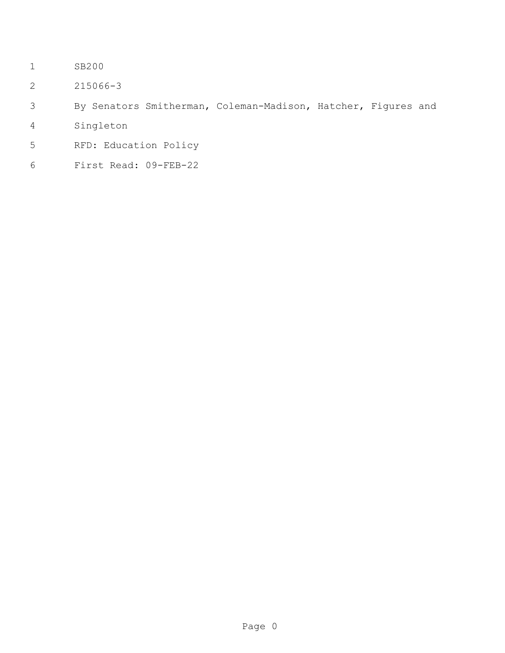- SB200
- 215066-3
- By Senators Smitherman, Coleman-Madison, Hatcher, Figures and
- Singleton
- RFD: Education Policy
- First Read: 09-FEB-22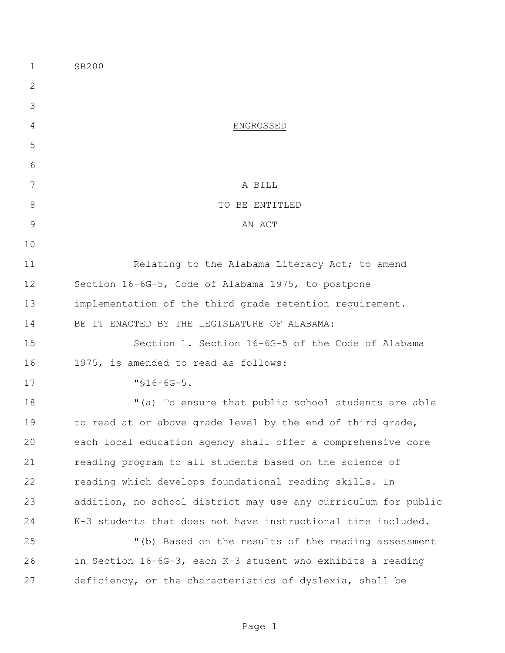| 1             | SB200                                                          |  |
|---------------|----------------------------------------------------------------|--|
| $\mathbf{2}$  |                                                                |  |
| 3             |                                                                |  |
| 4             | ENGROSSED                                                      |  |
| 5             |                                                                |  |
| 6             |                                                                |  |
| 7             | A BILL                                                         |  |
| $8\,$         | TO BE ENTITLED                                                 |  |
| $\mathcal{G}$ | AN ACT                                                         |  |
| 10            |                                                                |  |
| 11            | Relating to the Alabama Literacy Act; to amend                 |  |
| 12            | Section 16-6G-5, Code of Alabama 1975, to postpone             |  |
| 13            | implementation of the third grade retention requirement.       |  |
| 14            | BE IT ENACTED BY THE LEGISLATURE OF ALABAMA:                   |  |
| 15            | Section 1. Section 16-6G-5 of the Code of Alabama              |  |
| 16            | 1975, is amended to read as follows:                           |  |
| 17            | $"$ \$16-6G-5.                                                 |  |
| 18            | "(a) To ensure that public school students are able            |  |
| 19            | to read at or above grade level by the end of third grade,     |  |
| 20            | each local education agency shall offer a comprehensive core   |  |
| 21            | reading program to all students based on the science of        |  |
| 22            | reading which develops foundational reading skills. In         |  |
| 23            | addition, no school district may use any curriculum for public |  |
| 24            | K-3 students that does not have instructional time included.   |  |
| 25            | "(b) Based on the results of the reading assessment            |  |
| 26            | in Section 16-6G-3, each K-3 student who exhibits a reading    |  |
| 27            | deficiency, or the characteristics of dyslexia, shall be       |  |
|               |                                                                |  |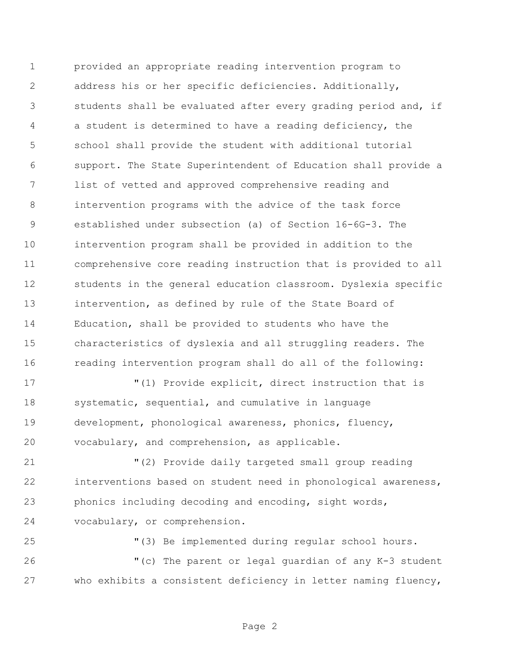provided an appropriate reading intervention program to address his or her specific deficiencies. Additionally, students shall be evaluated after every grading period and, if a student is determined to have a reading deficiency, the school shall provide the student with additional tutorial support. The State Superintendent of Education shall provide a list of vetted and approved comprehensive reading and intervention programs with the advice of the task force established under subsection (a) of Section 16-6G-3. The intervention program shall be provided in addition to the comprehensive core reading instruction that is provided to all students in the general education classroom. Dyslexia specific intervention, as defined by rule of the State Board of Education, shall be provided to students who have the characteristics of dyslexia and all struggling readers. The reading intervention program shall do all of the following:

 "(1) Provide explicit, direct instruction that is systematic, sequential, and cumulative in language development, phonological awareness, phonics, fluency, vocabulary, and comprehension, as applicable.

 "(2) Provide daily targeted small group reading interventions based on student need in phonological awareness, phonics including decoding and encoding, sight words, vocabulary, or comprehension.

"(3) Be implemented during regular school hours.

 "(c) The parent or legal guardian of any K-3 student who exhibits a consistent deficiency in letter naming fluency,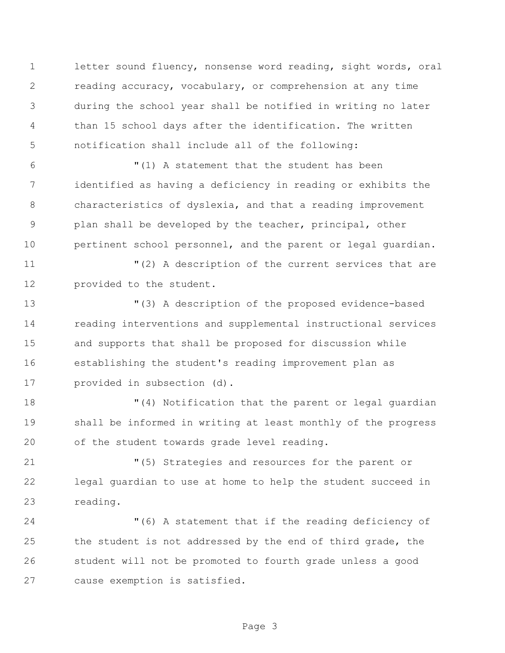letter sound fluency, nonsense word reading, sight words, oral reading accuracy, vocabulary, or comprehension at any time during the school year shall be notified in writing no later than 15 school days after the identification. The written notification shall include all of the following:

 "(1) A statement that the student has been identified as having a deficiency in reading or exhibits the characteristics of dyslexia, and that a reading improvement plan shall be developed by the teacher, principal, other pertinent school personnel, and the parent or legal guardian.

 "(2) A description of the current services that are provided to the student.

 "(3) A description of the proposed evidence-based reading interventions and supplemental instructional services and supports that shall be proposed for discussion while establishing the student's reading improvement plan as provided in subsection (d).

 "(4) Notification that the parent or legal guardian shall be informed in writing at least monthly of the progress of the student towards grade level reading.

 "(5) Strategies and resources for the parent or legal guardian to use at home to help the student succeed in reading.

 "(6) A statement that if the reading deficiency of the student is not addressed by the end of third grade, the student will not be promoted to fourth grade unless a good cause exemption is satisfied.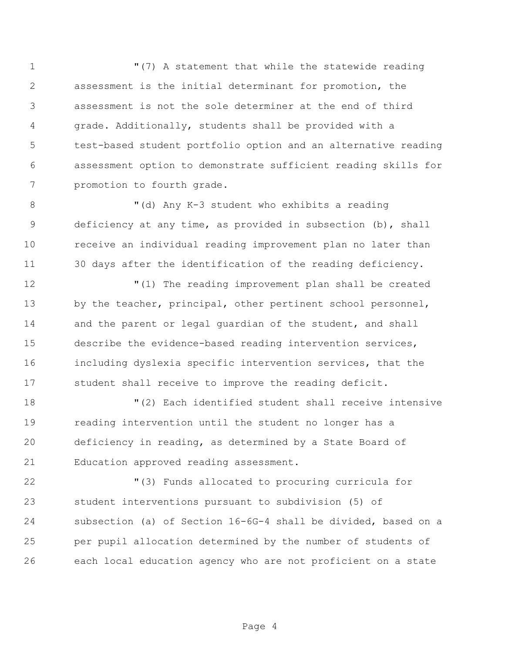1 T(7) A statement that while the statewide reading assessment is the initial determinant for promotion, the assessment is not the sole determiner at the end of third grade. Additionally, students shall be provided with a test-based student portfolio option and an alternative reading assessment option to demonstrate sufficient reading skills for promotion to fourth grade.

 "(d) Any K-3 student who exhibits a reading deficiency at any time, as provided in subsection (b), shall receive an individual reading improvement plan no later than 30 days after the identification of the reading deficiency.

 "(1) The reading improvement plan shall be created 13 by the teacher, principal, other pertinent school personnel, 14 and the parent or legal quardian of the student, and shall describe the evidence-based reading intervention services, including dyslexia specific intervention services, that the student shall receive to improve the reading deficit.

 "(2) Each identified student shall receive intensive reading intervention until the student no longer has a deficiency in reading, as determined by a State Board of Education approved reading assessment.

 "(3) Funds allocated to procuring curricula for student interventions pursuant to subdivision (5) of subsection (a) of Section 16-6G-4 shall be divided, based on a per pupil allocation determined by the number of students of each local education agency who are not proficient on a state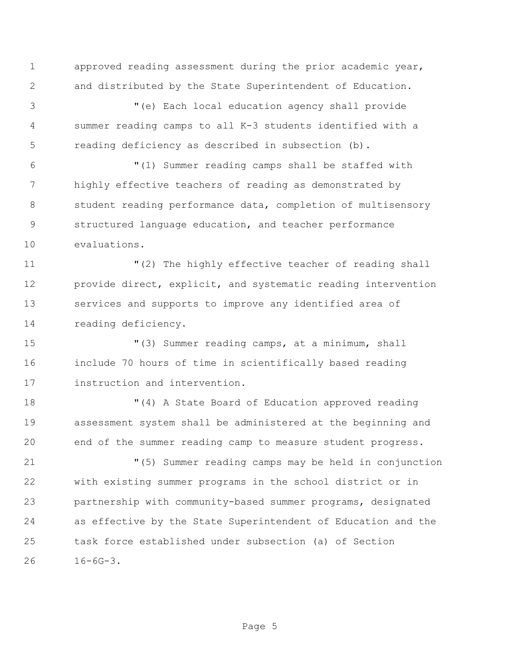approved reading assessment during the prior academic year, and distributed by the State Superintendent of Education.

 "(e) Each local education agency shall provide summer reading camps to all K-3 students identified with a reading deficiency as described in subsection (b).

 "(1) Summer reading camps shall be staffed with highly effective teachers of reading as demonstrated by student reading performance data, completion of multisensory structured language education, and teacher performance evaluations.

 "(2) The highly effective teacher of reading shall provide direct, explicit, and systematic reading intervention services and supports to improve any identified area of reading deficiency.

 "(3) Summer reading camps, at a minimum, shall include 70 hours of time in scientifically based reading instruction and intervention.

 "(4) A State Board of Education approved reading assessment system shall be administered at the beginning and end of the summer reading camp to measure student progress.

 "(5) Summer reading camps may be held in conjunction with existing summer programs in the school district or in partnership with community-based summer programs, designated as effective by the State Superintendent of Education and the task force established under subsection (a) of Section 16-6G-3.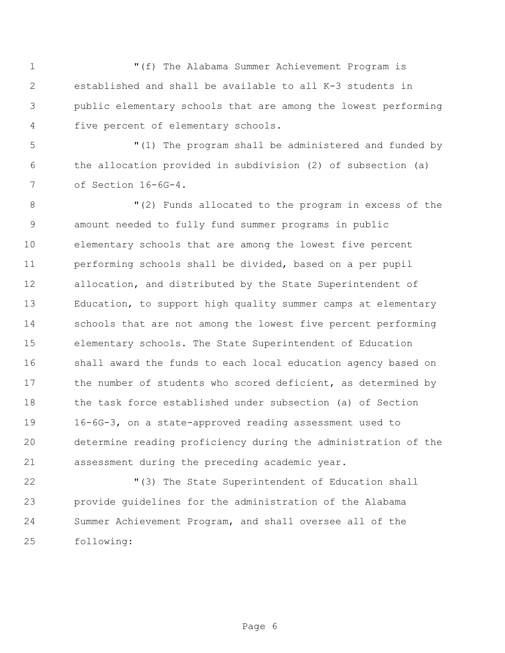"(f) The Alabama Summer Achievement Program is established and shall be available to all K-3 students in public elementary schools that are among the lowest performing five percent of elementary schools.

 "(1) The program shall be administered and funded by the allocation provided in subdivision (2) of subsection (a) of Section 16-6G-4.

 "(2) Funds allocated to the program in excess of the amount needed to fully fund summer programs in public elementary schools that are among the lowest five percent performing schools shall be divided, based on a per pupil allocation, and distributed by the State Superintendent of Education, to support high quality summer camps at elementary schools that are not among the lowest five percent performing elementary schools. The State Superintendent of Education shall award the funds to each local education agency based on 17 the number of students who scored deficient, as determined by the task force established under subsection (a) of Section 16-6G-3, on a state-approved reading assessment used to determine reading proficiency during the administration of the assessment during the preceding academic year.

 "(3) The State Superintendent of Education shall provide guidelines for the administration of the Alabama Summer Achievement Program, and shall oversee all of the following: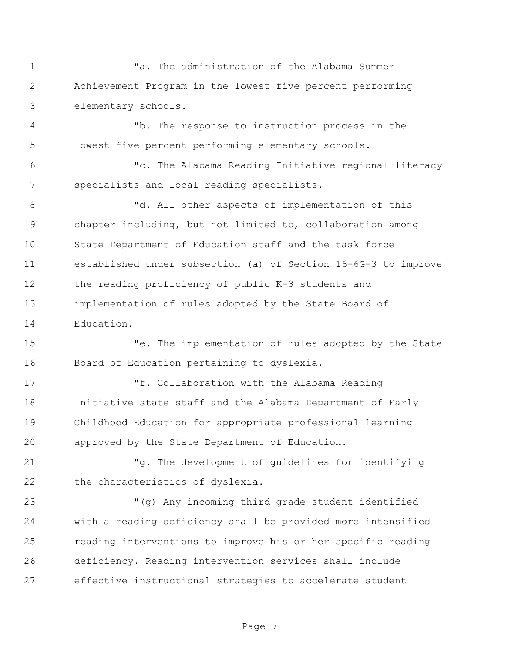"a. The administration of the Alabama Summer Achievement Program in the lowest five percent performing elementary schools.

 "b. The response to instruction process in the lowest five percent performing elementary schools.

 "c. The Alabama Reading Initiative regional literacy specialists and local reading specialists.

8 Td. All other aspects of implementation of this chapter including, but not limited to, collaboration among State Department of Education staff and the task force established under subsection (a) of Section 16-6G-3 to improve the reading proficiency of public K-3 students and implementation of rules adopted by the State Board of Education.

 "e. The implementation of rules adopted by the State Board of Education pertaining to dyslexia.

 "f. Collaboration with the Alabama Reading Initiative state staff and the Alabama Department of Early Childhood Education for appropriate professional learning approved by the State Department of Education.

 "g. The development of guidelines for identifying the characteristics of dyslexia.

 "(g) Any incoming third grade student identified with a reading deficiency shall be provided more intensified reading interventions to improve his or her specific reading deficiency. Reading intervention services shall include effective instructional strategies to accelerate student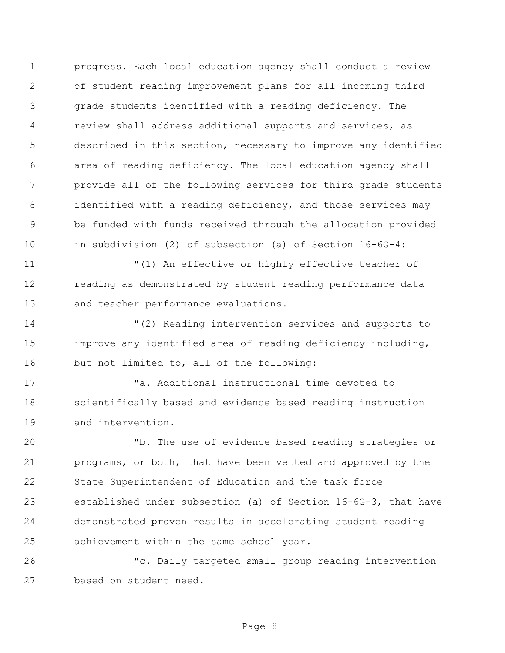progress. Each local education agency shall conduct a review of student reading improvement plans for all incoming third grade students identified with a reading deficiency. The review shall address additional supports and services, as described in this section, necessary to improve any identified area of reading deficiency. The local education agency shall provide all of the following services for third grade students 8 identified with a reading deficiency, and those services may be funded with funds received through the allocation provided in subdivision (2) of subsection (a) of Section 16-6G-4:

 "(1) An effective or highly effective teacher of reading as demonstrated by student reading performance data and teacher performance evaluations.

 "(2) Reading intervention services and supports to improve any identified area of reading deficiency including, but not limited to, all of the following:

 "a. Additional instructional time devoted to scientifically based and evidence based reading instruction and intervention.

 "b. The use of evidence based reading strategies or programs, or both, that have been vetted and approved by the State Superintendent of Education and the task force established under subsection (a) of Section 16-6G-3, that have demonstrated proven results in accelerating student reading achievement within the same school year.

 "c. Daily targeted small group reading intervention based on student need.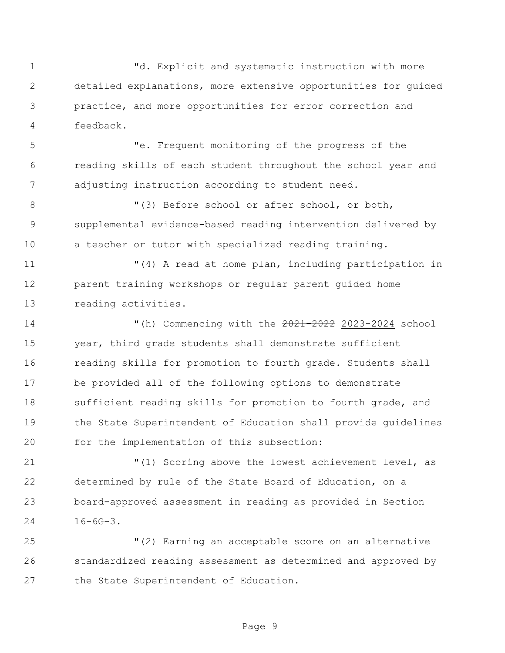"d. Explicit and systematic instruction with more detailed explanations, more extensive opportunities for guided practice, and more opportunities for error correction and feedback.

 "e. Frequent monitoring of the progress of the reading skills of each student throughout the school year and adjusting instruction according to student need.

8 "(3) Before school or after school, or both, supplemental evidence-based reading intervention delivered by a teacher or tutor with specialized reading training.

 "(4) A read at home plan, including participation in parent training workshops or regular parent guided home reading activities.

14 "(h) Commencing with the  $\frac{2021-2022}{2023-2024}$  school year, third grade students shall demonstrate sufficient reading skills for promotion to fourth grade. Students shall be provided all of the following options to demonstrate 18 sufficient reading skills for promotion to fourth grade, and the State Superintendent of Education shall provide guidelines for the implementation of this subsection:

 "(1) Scoring above the lowest achievement level, as determined by rule of the State Board of Education, on a board-approved assessment in reading as provided in Section 16-6G-3.

 "(2) Earning an acceptable score on an alternative standardized reading assessment as determined and approved by the State Superintendent of Education.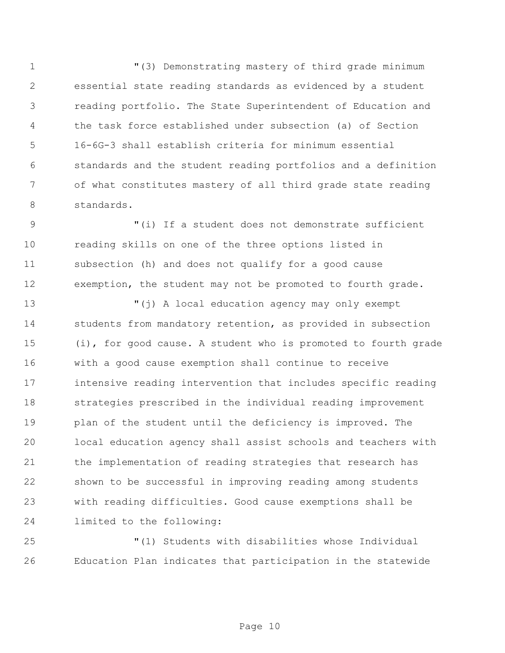$(3)$  Demonstrating mastery of third grade minimum essential state reading standards as evidenced by a student reading portfolio. The State Superintendent of Education and the task force established under subsection (a) of Section 16-6G-3 shall establish criteria for minimum essential standards and the student reading portfolios and a definition of what constitutes mastery of all third grade state reading standards.

 "(i) If a student does not demonstrate sufficient reading skills on one of the three options listed in subsection (h) and does not qualify for a good cause exemption, the student may not be promoted to fourth grade.

 "(j) A local education agency may only exempt students from mandatory retention, as provided in subsection (i), for good cause. A student who is promoted to fourth grade with a good cause exemption shall continue to receive intensive reading intervention that includes specific reading strategies prescribed in the individual reading improvement plan of the student until the deficiency is improved. The local education agency shall assist schools and teachers with the implementation of reading strategies that research has shown to be successful in improving reading among students with reading difficulties. Good cause exemptions shall be limited to the following:

 "(1) Students with disabilities whose Individual Education Plan indicates that participation in the statewide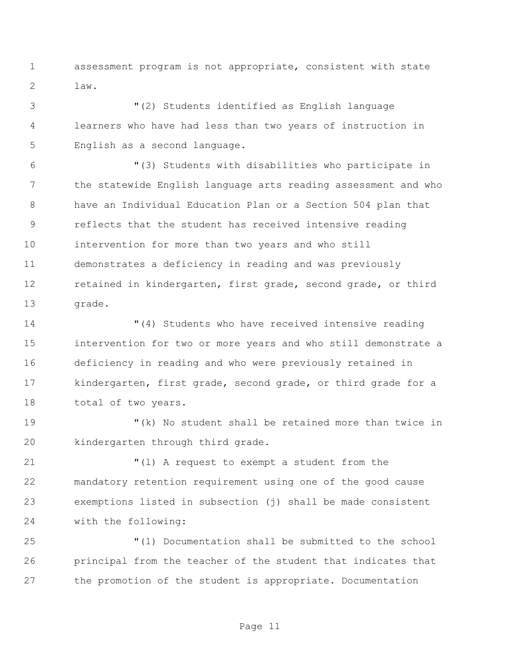assessment program is not appropriate, consistent with state law.

 "(2) Students identified as English language learners who have had less than two years of instruction in English as a second language.

 "(3) Students with disabilities who participate in the statewide English language arts reading assessment and who have an Individual Education Plan or a Section 504 plan that reflects that the student has received intensive reading intervention for more than two years and who still demonstrates a deficiency in reading and was previously 12 retained in kindergarten, first grade, second grade, or third 13 grade.

 "(4) Students who have received intensive reading intervention for two or more years and who still demonstrate a deficiency in reading and who were previously retained in kindergarten, first grade, second grade, or third grade for a 18 total of two years.

 "(k) No student shall be retained more than twice in kindergarten through third grade.

 "(l) A request to exempt a student from the mandatory retention requirement using one of the good cause exemptions listed in subsection (j) shall be made consistent with the following:

 "(1) Documentation shall be submitted to the school principal from the teacher of the student that indicates that the promotion of the student is appropriate. Documentation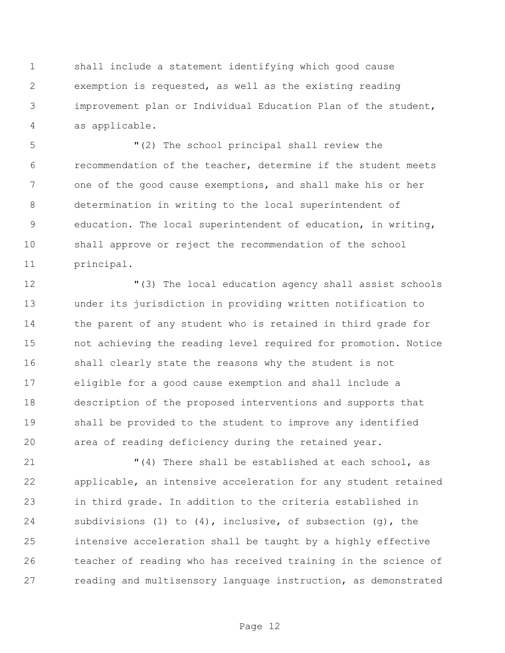shall include a statement identifying which good cause exemption is requested, as well as the existing reading improvement plan or Individual Education Plan of the student, as applicable.

 "(2) The school principal shall review the recommendation of the teacher, determine if the student meets 7 one of the good cause exemptions, and shall make his or her determination in writing to the local superintendent of education. The local superintendent of education, in writing, shall approve or reject the recommendation of the school principal.

 "(3) The local education agency shall assist schools under its jurisdiction in providing written notification to the parent of any student who is retained in third grade for not achieving the reading level required for promotion. Notice shall clearly state the reasons why the student is not eligible for a good cause exemption and shall include a description of the proposed interventions and supports that shall be provided to the student to improve any identified area of reading deficiency during the retained year.

 "(4) There shall be established at each school, as applicable, an intensive acceleration for any student retained in third grade. In addition to the criteria established in subdivisions (1) to (4), inclusive, of subsection (g), the intensive acceleration shall be taught by a highly effective teacher of reading who has received training in the science of reading and multisensory language instruction, as demonstrated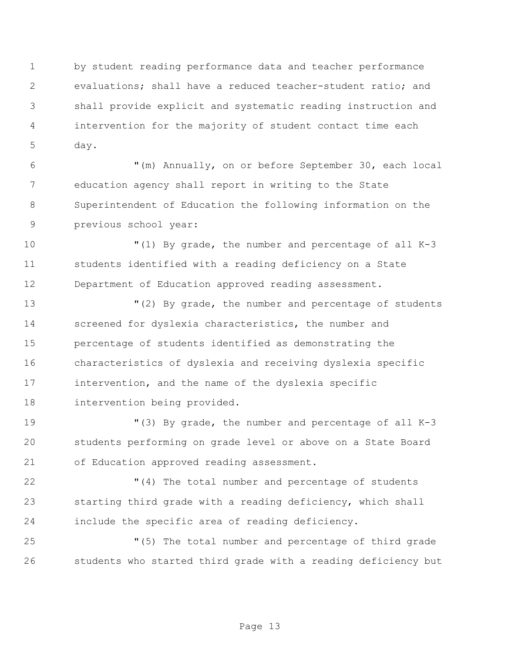by student reading performance data and teacher performance evaluations; shall have a reduced teacher-student ratio; and shall provide explicit and systematic reading instruction and intervention for the majority of student contact time each day.

 "(m) Annually, on or before September 30, each local education agency shall report in writing to the State Superintendent of Education the following information on the previous school year:

 "(1) By grade, the number and percentage of all K-3 students identified with a reading deficiency on a State Department of Education approved reading assessment.

 "(2) By grade, the number and percentage of students screened for dyslexia characteristics, the number and percentage of students identified as demonstrating the characteristics of dyslexia and receiving dyslexia specific intervention, and the name of the dyslexia specific intervention being provided.

 "(3) By grade, the number and percentage of all K-3 students performing on grade level or above on a State Board of Education approved reading assessment.

 "(4) The total number and percentage of students starting third grade with a reading deficiency, which shall include the specific area of reading deficiency.

 "(5) The total number and percentage of third grade students who started third grade with a reading deficiency but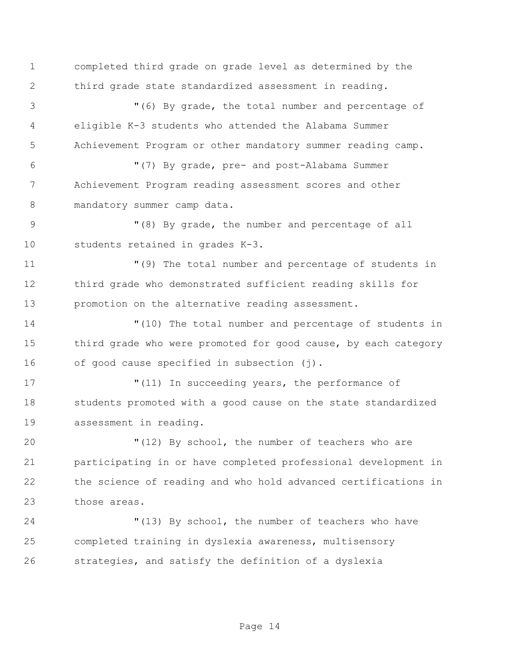completed third grade on grade level as determined by the third grade state standardized assessment in reading.

 "(6) By grade, the total number and percentage of eligible K-3 students who attended the Alabama Summer Achievement Program or other mandatory summer reading camp.

 "(7) By grade, pre- and post-Alabama Summer Achievement Program reading assessment scores and other mandatory summer camp data.

9 "(8) By grade, the number and percentage of all students retained in grades K-3.

 "(9) The total number and percentage of students in third grade who demonstrated sufficient reading skills for promotion on the alternative reading assessment.

 "(10) The total number and percentage of students in 15 third grade who were promoted for good cause, by each category 16 of good cause specified in subsection (j).

17 The U(11) In succeeding years, the performance of 18 students promoted with a good cause on the state standardized assessment in reading.

 "(12) By school, the number of teachers who are participating in or have completed professional development in the science of reading and who hold advanced certifications in those areas.

 "(13) By school, the number of teachers who have completed training in dyslexia awareness, multisensory strategies, and satisfy the definition of a dyslexia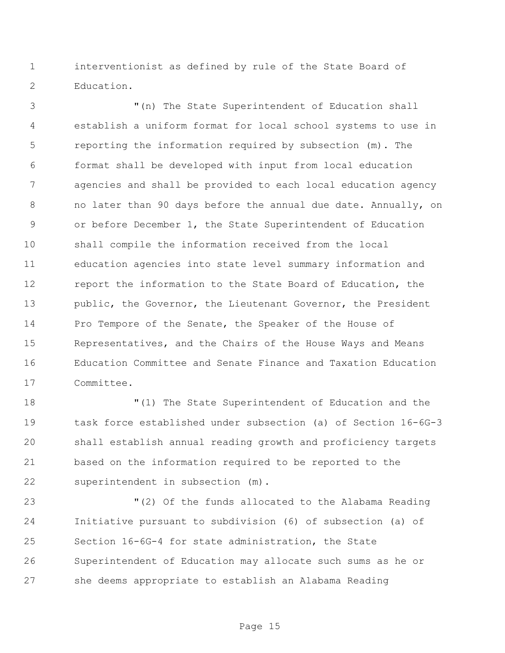interventionist as defined by rule of the State Board of Education.

 "(n) The State Superintendent of Education shall establish a uniform format for local school systems to use in reporting the information required by subsection (m). The format shall be developed with input from local education agencies and shall be provided to each local education agency no later than 90 days before the annual due date. Annually, on or before December 1, the State Superintendent of Education shall compile the information received from the local education agencies into state level summary information and report the information to the State Board of Education, the public, the Governor, the Lieutenant Governor, the President Pro Tempore of the Senate, the Speaker of the House of Representatives, and the Chairs of the House Ways and Means Education Committee and Senate Finance and Taxation Education Committee.

 "(1) The State Superintendent of Education and the task force established under subsection (a) of Section 16-6G-3 shall establish annual reading growth and proficiency targets based on the information required to be reported to the superintendent in subsection (m).

 "(2) Of the funds allocated to the Alabama Reading Initiative pursuant to subdivision (6) of subsection (a) of Section 16-6G-4 for state administration, the State Superintendent of Education may allocate such sums as he or she deems appropriate to establish an Alabama Reading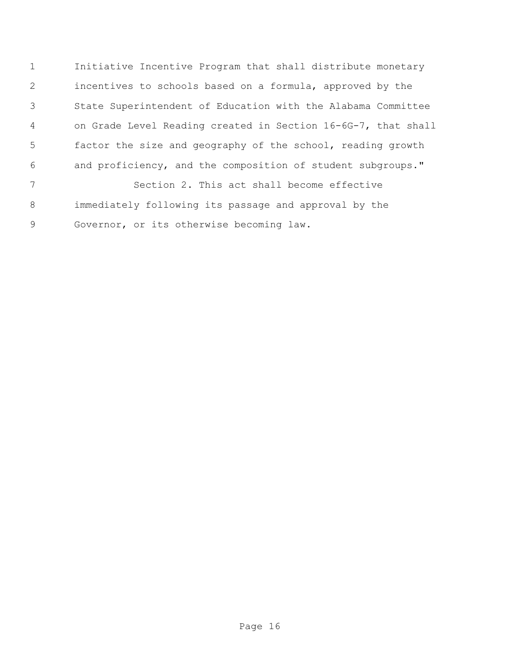Initiative Incentive Program that shall distribute monetary incentives to schools based on a formula, approved by the State Superintendent of Education with the Alabama Committee on Grade Level Reading created in Section 16-6G-7, that shall factor the size and geography of the school, reading growth and proficiency, and the composition of student subgroups." Section 2. This act shall become effective

 immediately following its passage and approval by the Governor, or its otherwise becoming law.